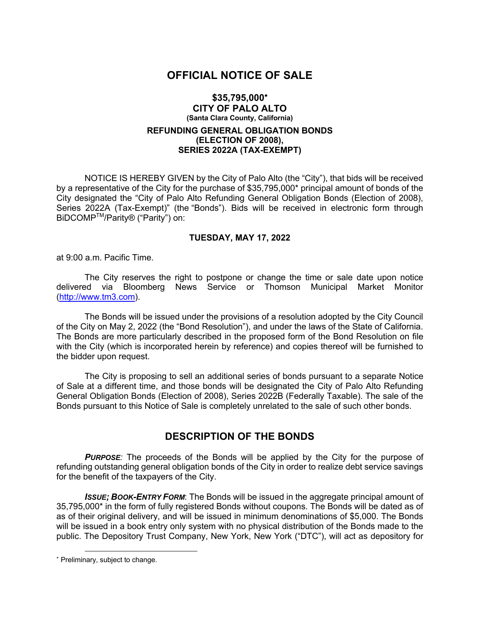# **OFFICIAL NOTICE OF SALE**

#### **\$35,795,000**\* **CITY OF PALO ALTO (Santa Clara County, California)**

#### **REFUNDING GENERAL OBLIGATION BONDS (ELECTION OF 2008), SERIES 2022A (TAX-EXEMPT)**

NOTICE IS HEREBY GIVEN by the City of Palo Alto (the "City"), that bids will be received by a representative of the City for the purchase of \$35,795,000\* principal amount of bonds of the City designated the "City of Palo Alto Refunding General Obligation Bonds (Election of 2008), Series 2022A (Tax-Exempt)" (the "Bonds"). Bids will be received in electronic form through BiDCOMPTM/Parity® ("Parity") on:

#### **TUESDAY, MAY 17, 2022**

at 9:00 a.m. Pacific Time.

The City reserves the right to postpone or change the time or sale date upon notice delivered via Bloomberg News Service or Thomson Municipal Market Monitor (http://www.tm3.com).

The Bonds will be issued under the provisions of a resolution adopted by the City Council of the City on May 2, 2022 (the "Bond Resolution"), and under the laws of the State of California. The Bonds are more particularly described in the proposed form of the Bond Resolution on file with the City (which is incorporated herein by reference) and copies thereof will be furnished to the bidder upon request.

The City is proposing to sell an additional series of bonds pursuant to a separate Notice of Sale at a different time, and those bonds will be designated the City of Palo Alto Refunding General Obligation Bonds (Election of 2008), Series 2022B (Federally Taxable). The sale of the Bonds pursuant to this Notice of Sale is completely unrelated to the sale of such other bonds.

# **DESCRIPTION OF THE BONDS**

**PURPOSE**: The proceeds of the Bonds will be applied by the City for the purpose of refunding outstanding general obligation bonds of the City in order to realize debt service savings for the benefit of the taxpayers of the City.

*ISSUE; BOOK-ENTRY FORM*: The Bonds will be issued in the aggregate principal amount of 35,795,000\* in the form of fully registered Bonds without coupons. The Bonds will be dated as of as of their original delivery, and will be issued in minimum denominations of \$5,000. The Bonds will be issued in a book entry only system with no physical distribution of the Bonds made to the public. The Depository Trust Company, New York, New York ("DTC"), will act as depository for

<sup>\*</sup> Preliminary, subject to change.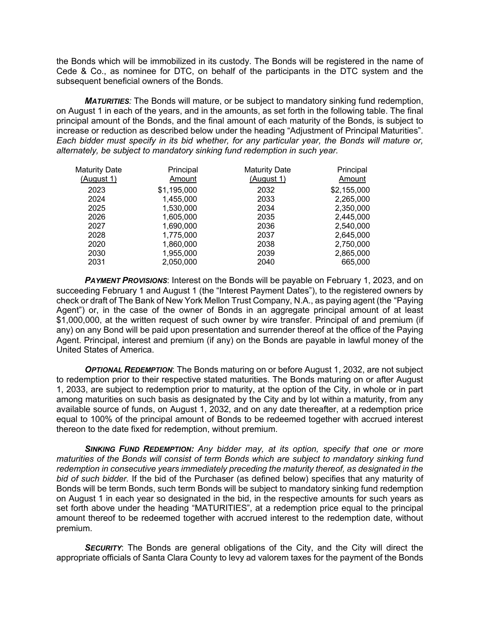the Bonds which will be immobilized in its custody. The Bonds will be registered in the name of Cede & Co., as nominee for DTC, on behalf of the participants in the DTC system and the subsequent beneficial owners of the Bonds.

*MATURITIES:* The Bonds will mature, or be subject to mandatory sinking fund redemption, on August 1 in each of the years, and in the amounts, as set forth in the following table. The final principal amount of the Bonds, and the final amount of each maturity of the Bonds, is subject to increase or reduction as described below under the heading "Adjustment of Principal Maturities". *Each bidder must specify in its bid whether, for any particular year, the Bonds will mature or, alternately, be subject to mandatory sinking fund redemption in such year.*

| <b>Maturity Date</b> | Principal   | <b>Maturity Date</b> | Principal   |
|----------------------|-------------|----------------------|-------------|
| (August 1)           | Amount      | (August 1)           | Amount      |
| 2023                 | \$1,195,000 | 2032                 | \$2,155,000 |
| 2024                 | 1,455,000   | 2033                 | 2,265,000   |
| 2025                 | 1,530,000   | 2034                 | 2,350,000   |
| 2026                 | 1,605,000   | 2035                 | 2,445,000   |
| 2027                 | 1,690,000   | 2036                 | 2,540,000   |
| 2028                 | 1,775,000   | 2037                 | 2,645,000   |
| 2020                 | 1,860,000   | 2038                 | 2,750,000   |
| 2030                 | 1,955,000   | 2039                 | 2,865,000   |
| 2031                 | 2,050,000   | 2040                 | 665,000     |

**PAYMENT PROVISIONS:** Interest on the Bonds will be payable on February 1, 2023, and on succeeding February 1 and August 1 (the "Interest Payment Dates"), to the registered owners by check or draft of The Bank of New York Mellon Trust Company, N.A., as paying agent (the "Paying Agent") or, in the case of the owner of Bonds in an aggregate principal amount of at least \$1,000,000, at the written request of such owner by wire transfer. Principal of and premium (if any) on any Bond will be paid upon presentation and surrender thereof at the office of the Paying Agent. Principal, interest and premium (if any) on the Bonds are payable in lawful money of the United States of America.

*OPTIONAL REDEMPTION*: The Bonds maturing on or before August 1, 2032, are not subject to redemption prior to their respective stated maturities. The Bonds maturing on or after August 1, 2033, are subject to redemption prior to maturity, at the option of the City, in whole or in part among maturities on such basis as designated by the City and by lot within a maturity, from any available source of funds, on August 1, 2032, and on any date thereafter, at a redemption price equal to 100% of the principal amount of Bonds to be redeemed together with accrued interest thereon to the date fixed for redemption, without premium.

*SINKING FUND REDEMPTION: Any bidder may, at its option, specify that one or more maturities of the Bonds will consist of term Bonds which are subject to mandatory sinking fund redemption in consecutive years immediately preceding the maturity thereof, as designated in the bid of such bidder.* If the bid of the Purchaser (as defined below) specifies that any maturity of Bonds will be term Bonds, such term Bonds will be subject to mandatory sinking fund redemption on August 1 in each year so designated in the bid, in the respective amounts for such years as set forth above under the heading "MATURITIES", at a redemption price equal to the principal amount thereof to be redeemed together with accrued interest to the redemption date, without premium.

**SECURITY:** The Bonds are general obligations of the City, and the City will direct the appropriate officials of Santa Clara County to levy ad valorem taxes for the payment of the Bonds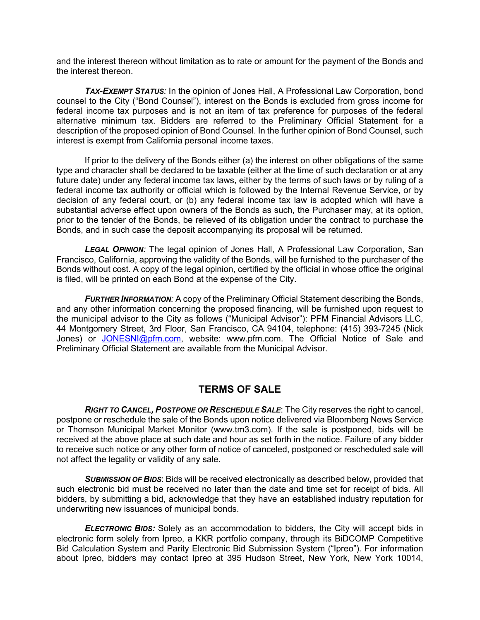and the interest thereon without limitation as to rate or amount for the payment of the Bonds and the interest thereon.

*TAX-EXEMPT STATUS:* In the opinion of Jones Hall, A Professional Law Corporation, bond counsel to the City ("Bond Counsel"), interest on the Bonds is excluded from gross income for federal income tax purposes and is not an item of tax preference for purposes of the federal alternative minimum tax. Bidders are referred to the Preliminary Official Statement for a description of the proposed opinion of Bond Counsel. In the further opinion of Bond Counsel, such interest is exempt from California personal income taxes.

If prior to the delivery of the Bonds either (a) the interest on other obligations of the same type and character shall be declared to be taxable (either at the time of such declaration or at any future date) under any federal income tax laws, either by the terms of such laws or by ruling of a federal income tax authority or official which is followed by the Internal Revenue Service, or by decision of any federal court, or (b) any federal income tax law is adopted which will have a substantial adverse effect upon owners of the Bonds as such, the Purchaser may, at its option, prior to the tender of the Bonds, be relieved of its obligation under the contract to purchase the Bonds, and in such case the deposit accompanying its proposal will be returned.

*LEGAL OPINION:* The legal opinion of Jones Hall, A Professional Law Corporation, San Francisco, California, approving the validity of the Bonds, will be furnished to the purchaser of the Bonds without cost. A copy of the legal opinion, certified by the official in whose office the original is filed, will be printed on each Bond at the expense of the City.

*FURTHER INFORMATION:* A copy of the Preliminary Official Statement describing the Bonds, and any other information concerning the proposed financing, will be furnished upon request to the municipal advisor to the City as follows ("Municipal Advisor"): PFM Financial Advisors LLC, 44 Montgomery Street, 3rd Floor, San Francisco, CA 94104, telephone: (415) 393-7245 (Nick Jones) or JONESNI@pfm.com, website: www.pfm.com. The Official Notice of Sale and Preliminary Official Statement are available from the Municipal Advisor.

### **TERMS OF SALE**

*RIGHT TO CANCEL, POSTPONE OR RESCHEDULE SALE*: The City reserves the right to cancel, postpone or reschedule the sale of the Bonds upon notice delivered via Bloomberg News Service or Thomson Municipal Market Monitor (www.tm3.com). If the sale is postponed, bids will be received at the above place at such date and hour as set forth in the notice. Failure of any bidder to receive such notice or any other form of notice of canceled, postponed or rescheduled sale will not affect the legality or validity of any sale.

*SUBMISSION OF BIDS*: Bids will be received electronically as described below, provided that such electronic bid must be received no later than the date and time set for receipt of bids. All bidders, by submitting a bid, acknowledge that they have an established industry reputation for underwriting new issuances of municipal bonds.

*ELECTRONIC BIDS:* Solely as an accommodation to bidders, the City will accept bids in electronic form solely from Ipreo, a KKR portfolio company, through its BiDCOMP Competitive Bid Calculation System and Parity Electronic Bid Submission System ("Ipreo"). For information about Ipreo, bidders may contact Ipreo at 395 Hudson Street, New York, New York 10014,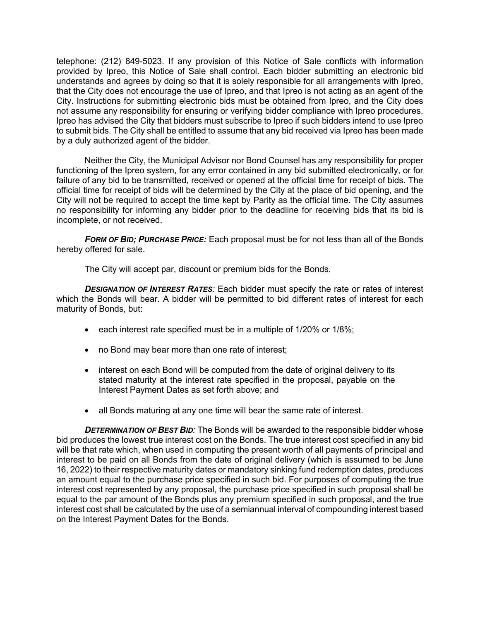telephone: (212) 849-5023. If any provision of this Notice of Sale conflicts with information provided by Ipreo, this Notice of Sale shall control. Each bidder submitting an electronic bid understands and agrees by doing so that it is solely responsible for all arrangements with Ipreo, that the City does not encourage the use of Ipreo, and that Ipreo is not acting as an agent of the City. Instructions for submitting electronic bids must be obtained from Ipreo, and the City does not assume any responsibility for ensuring or verifying bidder compliance with Ipreo procedures. Ipreo has advised the City that bidders must subscribe to Ipreo if such bidders intend to use Ipreo to submit bids. The City shall be entitled to assume that any bid received via Ipreo has been made by a duly authorized agent of the bidder.

Neither the City, the Municipal Advisor nor Bond Counsel has any responsibility for proper functioning of the Ipreo system, for any error contained in any bid submitted electronically, or for failure of any bid to be transmitted, received or opened at the official time for receipt of bids. The official time for receipt of bids will be determined by the City at the place of bid opening, and the City will not be required to accept the time kept by Parity as the official time. The City assumes no responsibility for informing any bidder prior to the deadline for receiving bids that its bid is incomplete, or not received.

*FORM OF BID; PURCHASE PRICE:* Each proposal must be for not less than all of the Bonds hereby offered for sale.

The City will accept par, discount or premium bids for the Bonds.

*DESIGNATION OF INTEREST RATES:* Each bidder must specify the rate or rates of interest which the Bonds will bear. A bidder will be permitted to bid different rates of interest for each maturity of Bonds, but:

- each interest rate specified must be in a multiple of 1/20% or 1/8%;
- no Bond may bear more than one rate of interest;
- interest on each Bond will be computed from the date of original delivery to its stated maturity at the interest rate specified in the proposal, payable on the Interest Payment Dates as set forth above; and
- all Bonds maturing at any one time will bear the same rate of interest.

*DETERMINATION OF BEST BID:* The Bonds will be awarded to the responsible bidder whose bid produces the lowest true interest cost on the Bonds. The true interest cost specified in any bid will be that rate which, when used in computing the present worth of all payments of principal and interest to be paid on all Bonds from the date of original delivery (which is assumed to be June 16, 2022) to their respective maturity dates or mandatory sinking fund redemption dates, produces an amount equal to the purchase price specified in such bid. For purposes of computing the true interest cost represented by any proposal, the purchase price specified in such proposal shall be equal to the par amount of the Bonds plus any premium specified in such proposal, and the true interest cost shall be calculated by the use of a semiannual interval of compounding interest based on the Interest Payment Dates for the Bonds.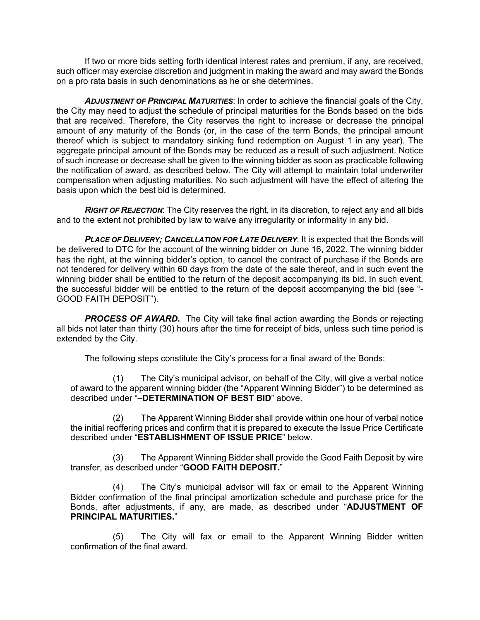If two or more bids setting forth identical interest rates and premium, if any, are received, such officer may exercise discretion and judgment in making the award and may award the Bonds on a pro rata basis in such denominations as he or she determines.

*ADJUSTMENT OF PRINCIPAL MATURITIES*: In order to achieve the financial goals of the City, the City may need to adjust the schedule of principal maturities for the Bonds based on the bids that are received. Therefore, the City reserves the right to increase or decrease the principal amount of any maturity of the Bonds (or, in the case of the term Bonds, the principal amount thereof which is subject to mandatory sinking fund redemption on August 1 in any year). The aggregate principal amount of the Bonds may be reduced as a result of such adjustment. Notice of such increase or decrease shall be given to the winning bidder as soon as practicable following the notification of award, as described below. The City will attempt to maintain total underwriter compensation when adjusting maturities. No such adjustment will have the effect of altering the basis upon which the best bid is determined.

*RIGHT OF REJECTION*: The City reserves the right, in its discretion, to reject any and all bids and to the extent not prohibited by law to waive any irregularity or informality in any bid.

*PLACE OF DELIVERY; CANCELLATION FOR LATE DELIVERY*: It is expected that the Bonds will be delivered to DTC for the account of the winning bidder on June 16, 2022. The winning bidder has the right, at the winning bidder's option, to cancel the contract of purchase if the Bonds are not tendered for delivery within 60 days from the date of the sale thereof, and in such event the winning bidder shall be entitled to the return of the deposit accompanying its bid. In such event, the successful bidder will be entitled to the return of the deposit accompanying the bid (see "- GOOD FAITH DEPOSIT").

**PROCESS OF AWARD.** The City will take final action awarding the Bonds or rejecting all bids not later than thirty (30) hours after the time for receipt of bids, unless such time period is extended by the City.

The following steps constitute the City's process for a final award of the Bonds:

(1) The City's municipal advisor, on behalf of the City, will give a verbal notice of award to the apparent winning bidder (the "Apparent Winning Bidder") to be determined as described under "**–DETERMINATION OF BEST BID**" above.

(2) The Apparent Winning Bidder shall provide within one hour of verbal notice the initial reoffering prices and confirm that it is prepared to execute the Issue Price Certificate described under "**ESTABLISHMENT OF ISSUE PRICE**" below.

(3) The Apparent Winning Bidder shall provide the Good Faith Deposit by wire transfer, as described under "**GOOD FAITH DEPOSIT.**"

(4) The City's municipal advisor will fax or email to the Apparent Winning Bidder confirmation of the final principal amortization schedule and purchase price for the Bonds, after adjustments, if any, are made, as described under "**ADJUSTMENT OF PRINCIPAL MATURITIES.**"

(5) The City will fax or email to the Apparent Winning Bidder written confirmation of the final award.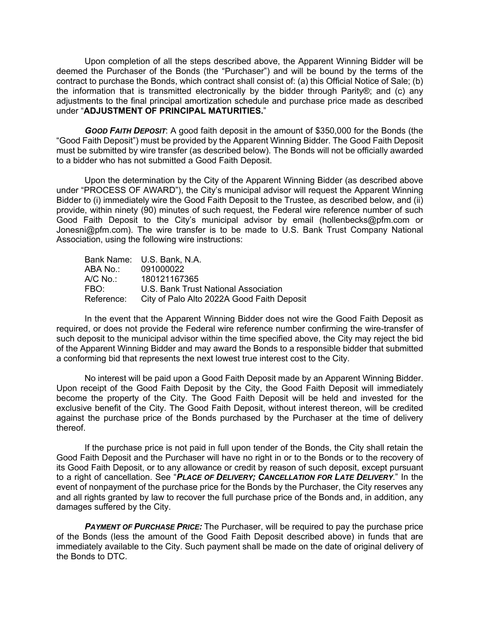Upon completion of all the steps described above, the Apparent Winning Bidder will be deemed the Purchaser of the Bonds (the "Purchaser") and will be bound by the terms of the contract to purchase the Bonds, which contract shall consist of: (a) this Official Notice of Sale; (b) the information that is transmitted electronically by the bidder through Parity®; and (c) any adjustments to the final principal amortization schedule and purchase price made as described under "**ADJUSTMENT OF PRINCIPAL MATURITIES.**"

*GOOD FAITH DEPOSIT*: A good faith deposit in the amount of \$350,000 for the Bonds (the "Good Faith Deposit") must be provided by the Apparent Winning Bidder. The Good Faith Deposit must be submitted by wire transfer (as described below). The Bonds will not be officially awarded to a bidder who has not submitted a Good Faith Deposit.

Upon the determination by the City of the Apparent Winning Bidder (as described above under "PROCESS OF AWARD"), the City's municipal advisor will request the Apparent Winning Bidder to (i) immediately wire the Good Faith Deposit to the Trustee, as described below, and (ii) provide, within ninety (90) minutes of such request, the Federal wire reference number of such Good Faith Deposit to the City's municipal advisor by email (hollenbecks@pfm.com or Jonesni@pfm.com). The wire transfer is to be made to U.S. Bank Trust Company National Association, using the following wire instructions:

| Bank Name: U.S. Bank, N.A.                 |
|--------------------------------------------|
| 091000022                                  |
| 180121167365                               |
| U.S. Bank Trust National Association       |
| City of Palo Alto 2022A Good Faith Deposit |
|                                            |

In the event that the Apparent Winning Bidder does not wire the Good Faith Deposit as required, or does not provide the Federal wire reference number confirming the wire-transfer of such deposit to the municipal advisor within the time specified above, the City may reject the bid of the Apparent Winning Bidder and may award the Bonds to a responsible bidder that submitted a conforming bid that represents the next lowest true interest cost to the City.

No interest will be paid upon a Good Faith Deposit made by an Apparent Winning Bidder. Upon receipt of the Good Faith Deposit by the City, the Good Faith Deposit will immediately become the property of the City. The Good Faith Deposit will be held and invested for the exclusive benefit of the City. The Good Faith Deposit, without interest thereon, will be credited against the purchase price of the Bonds purchased by the Purchaser at the time of delivery thereof.

If the purchase price is not paid in full upon tender of the Bonds, the City shall retain the Good Faith Deposit and the Purchaser will have no right in or to the Bonds or to the recovery of its Good Faith Deposit, or to any allowance or credit by reason of such deposit, except pursuant to a right of cancellation. See "*PLACE OF DELIVERY; CANCELLATION FOR LATE DELIVERY*." In the event of nonpayment of the purchase price for the Bonds by the Purchaser, the City reserves any and all rights granted by law to recover the full purchase price of the Bonds and, in addition, any damages suffered by the City.

*PAYMENT OF PURCHASE PRICE:* The Purchaser, will be required to pay the purchase price of the Bonds (less the amount of the Good Faith Deposit described above) in funds that are immediately available to the City. Such payment shall be made on the date of original delivery of the Bonds to DTC.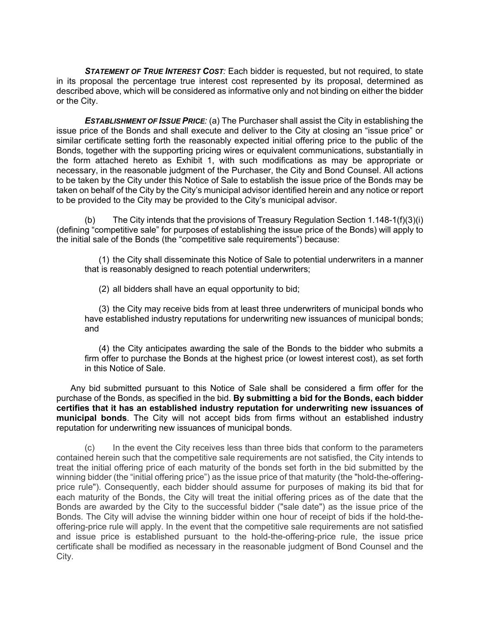*STATEMENT OF TRUE INTEREST COST:* Each bidder is requested, but not required, to state in its proposal the percentage true interest cost represented by its proposal, determined as described above, which will be considered as informative only and not binding on either the bidder or the City.

**ESTABLISHMENT OF ISSUE PRICE**: (a) The Purchaser shall assist the City in establishing the issue price of the Bonds and shall execute and deliver to the City at closing an "issue price" or similar certificate setting forth the reasonably expected initial offering price to the public of the Bonds, together with the supporting pricing wires or equivalent communications, substantially in the form attached hereto as Exhibit 1, with such modifications as may be appropriate or necessary, in the reasonable judgment of the Purchaser, the City and Bond Counsel. All actions to be taken by the City under this Notice of Sale to establish the issue price of the Bonds may be taken on behalf of the City by the City's municipal advisor identified herein and any notice or report to be provided to the City may be provided to the City's municipal advisor.

(b) The City intends that the provisions of Treasury Regulation Section 1.148-1(f)(3)(i) (defining "competitive sale" for purposes of establishing the issue price of the Bonds) will apply to the initial sale of the Bonds (the "competitive sale requirements") because:

(1) the City shall disseminate this Notice of Sale to potential underwriters in a manner that is reasonably designed to reach potential underwriters;

(2) all bidders shall have an equal opportunity to bid;

(3) the City may receive bids from at least three underwriters of municipal bonds who have established industry reputations for underwriting new issuances of municipal bonds; and

(4) the City anticipates awarding the sale of the Bonds to the bidder who submits a firm offer to purchase the Bonds at the highest price (or lowest interest cost), as set forth in this Notice of Sale.

Any bid submitted pursuant to this Notice of Sale shall be considered a firm offer for the purchase of the Bonds, as specified in the bid. **By submitting a bid for the Bonds, each bidder certifies that it has an established industry reputation for underwriting new issuances of municipal bonds**. The City will not accept bids from firms without an established industry reputation for underwriting new issuances of municipal bonds.

(c) In the event the City receives less than three bids that conform to the parameters contained herein such that the competitive sale requirements are not satisfied, the City intends to treat the initial offering price of each maturity of the bonds set forth in the bid submitted by the winning bidder (the "initial offering price") as the issue price of that maturity (the "hold-the-offeringprice rule"). Consequently, each bidder should assume for purposes of making its bid that for each maturity of the Bonds, the City will treat the initial offering prices as of the date that the Bonds are awarded by the City to the successful bidder ("sale date") as the issue price of the Bonds. The City will advise the winning bidder within one hour of receipt of bids if the hold-theoffering-price rule will apply. In the event that the competitive sale requirements are not satisfied and issue price is established pursuant to the hold-the-offering-price rule, the issue price certificate shall be modified as necessary in the reasonable judgment of Bond Counsel and the City.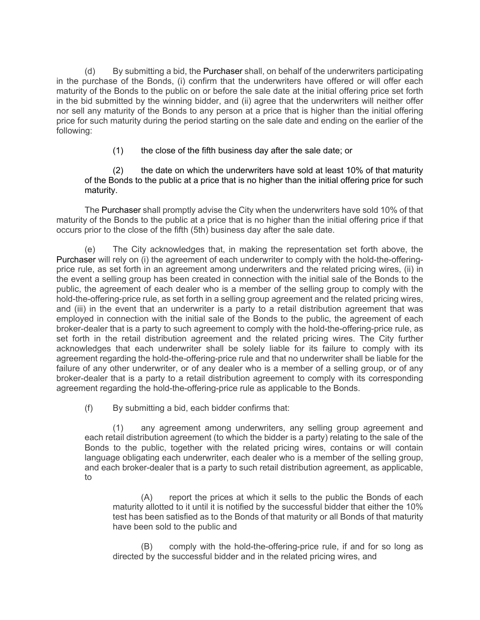(d) By submitting a bid, the Purchaser shall, on behalf of the underwriters participating in the purchase of the Bonds, (i) confirm that the underwriters have offered or will offer each maturity of the Bonds to the public on or before the sale date at the initial offering price set forth in the bid submitted by the winning bidder, and (ii) agree that the underwriters will neither offer nor sell any maturity of the Bonds to any person at a price that is higher than the initial offering price for such maturity during the period starting on the sale date and ending on the earlier of the following:

(1) the close of the fifth business day after the sale date; or

(2) the date on which the underwriters have sold at least 10% of that maturity of the Bonds to the public at a price that is no higher than the initial offering price for such maturity.

The Purchaser shall promptly advise the City when the underwriters have sold 10% of that maturity of the Bonds to the public at a price that is no higher than the initial offering price if that occurs prior to the close of the fifth (5th) business day after the sale date.

(e) The City acknowledges that, in making the representation set forth above, the Purchaser will rely on (i) the agreement of each underwriter to comply with the hold-the-offeringprice rule, as set forth in an agreement among underwriters and the related pricing wires, (ii) in the event a selling group has been created in connection with the initial sale of the Bonds to the public, the agreement of each dealer who is a member of the selling group to comply with the hold-the-offering-price rule, as set forth in a selling group agreement and the related pricing wires, and (iii) in the event that an underwriter is a party to a retail distribution agreement that was employed in connection with the initial sale of the Bonds to the public, the agreement of each broker-dealer that is a party to such agreement to comply with the hold-the-offering-price rule, as set forth in the retail distribution agreement and the related pricing wires. The City further acknowledges that each underwriter shall be solely liable for its failure to comply with its agreement regarding the hold-the-offering-price rule and that no underwriter shall be liable for the failure of any other underwriter, or of any dealer who is a member of a selling group, or of any broker-dealer that is a party to a retail distribution agreement to comply with its corresponding agreement regarding the hold-the-offering-price rule as applicable to the Bonds.

(f) By submitting a bid, each bidder confirms that:

(1) any agreement among underwriters, any selling group agreement and each retail distribution agreement (to which the bidder is a party) relating to the sale of the Bonds to the public, together with the related pricing wires, contains or will contain language obligating each underwriter, each dealer who is a member of the selling group, and each broker-dealer that is a party to such retail distribution agreement, as applicable, to

(A) report the prices at which it sells to the public the Bonds of each maturity allotted to it until it is notified by the successful bidder that either the 10% test has been satisfied as to the Bonds of that maturity or all Bonds of that maturity have been sold to the public and

(B) comply with the hold-the-offering-price rule, if and for so long as directed by the successful bidder and in the related pricing wires, and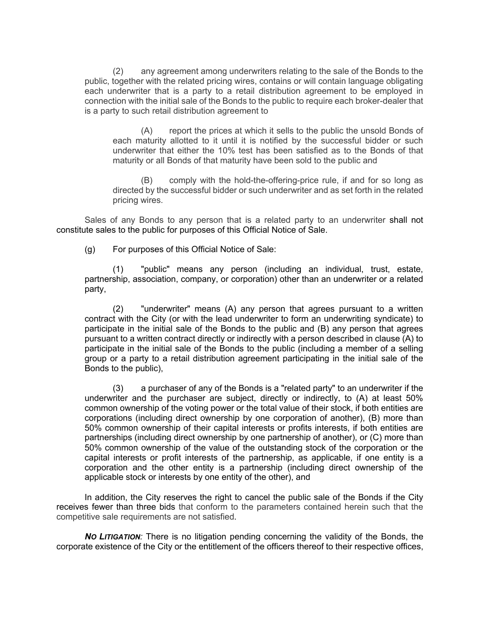(2) any agreement among underwriters relating to the sale of the Bonds to the public, together with the related pricing wires, contains or will contain language obligating each underwriter that is a party to a retail distribution agreement to be employed in connection with the initial sale of the Bonds to the public to require each broker-dealer that is a party to such retail distribution agreement to

(A) report the prices at which it sells to the public the unsold Bonds of each maturity allotted to it until it is notified by the successful bidder or such underwriter that either the 10% test has been satisfied as to the Bonds of that maturity or all Bonds of that maturity have been sold to the public and

(B) comply with the hold-the-offering-price rule, if and for so long as directed by the successful bidder or such underwriter and as set forth in the related pricing wires.

Sales of any Bonds to any person that is a related party to an underwriter shall not constitute sales to the public for purposes of this Official Notice of Sale.

(g) For purposes of this Official Notice of Sale:

(1) "public" means any person (including an individual, trust, estate, partnership, association, company, or corporation) other than an underwriter or a related party,

(2) "underwriter" means (A) any person that agrees pursuant to a written contract with the City (or with the lead underwriter to form an underwriting syndicate) to participate in the initial sale of the Bonds to the public and (B) any person that agrees pursuant to a written contract directly or indirectly with a person described in clause (A) to participate in the initial sale of the Bonds to the public (including a member of a selling group or a party to a retail distribution agreement participating in the initial sale of the Bonds to the public),

(3) a purchaser of any of the Bonds is a "related party" to an underwriter if the underwriter and the purchaser are subject, directly or indirectly, to (A) at least 50% common ownership of the voting power or the total value of their stock, if both entities are corporations (including direct ownership by one corporation of another), (B) more than 50% common ownership of their capital interests or profits interests, if both entities are partnerships (including direct ownership by one partnership of another), or (C) more than 50% common ownership of the value of the outstanding stock of the corporation or the capital interests or profit interests of the partnership, as applicable, if one entity is a corporation and the other entity is a partnership (including direct ownership of the applicable stock or interests by one entity of the other), and

In addition, the City reserves the right to cancel the public sale of the Bonds if the City receives fewer than three bids that conform to the parameters contained herein such that the competitive sale requirements are not satisfied.

*NO LITIGATION:* There is no litigation pending concerning the validity of the Bonds, the corporate existence of the City or the entitlement of the officers thereof to their respective offices,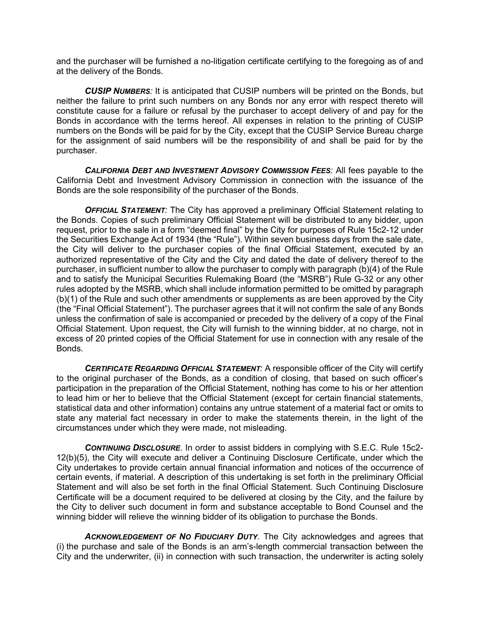and the purchaser will be furnished a no-litigation certificate certifying to the foregoing as of and at the delivery of the Bonds.

*CUSIP NUMBERS:* It is anticipated that CUSIP numbers will be printed on the Bonds, but neither the failure to print such numbers on any Bonds nor any error with respect thereto will constitute cause for a failure or refusal by the purchaser to accept delivery of and pay for the Bonds in accordance with the terms hereof. All expenses in relation to the printing of CUSIP numbers on the Bonds will be paid for by the City, except that the CUSIP Service Bureau charge for the assignment of said numbers will be the responsibility of and shall be paid for by the purchaser.

*CALIFORNIA DEBT AND INVESTMENT ADVISORY COMMISSION FEES:* All fees payable to the California Debt and Investment Advisory Commission in connection with the issuance of the Bonds are the sole responsibility of the purchaser of the Bonds.

*OFFICIAL STATEMENT:* The City has approved a preliminary Official Statement relating to the Bonds. Copies of such preliminary Official Statement will be distributed to any bidder, upon request, prior to the sale in a form "deemed final" by the City for purposes of Rule 15c2-12 under the Securities Exchange Act of 1934 (the "Rule"). Within seven business days from the sale date, the City will deliver to the purchaser copies of the final Official Statement, executed by an authorized representative of the City and the City and dated the date of delivery thereof to the purchaser, in sufficient number to allow the purchaser to comply with paragraph (b)(4) of the Rule and to satisfy the Municipal Securities Rulemaking Board (the "MSRB") Rule G-32 or any other rules adopted by the MSRB, which shall include information permitted to be omitted by paragraph (b)(1) of the Rule and such other amendments or supplements as are been approved by the City (the "Final Official Statement"). The purchaser agrees that it will not confirm the sale of any Bonds unless the confirmation of sale is accompanied or preceded by the delivery of a copy of the Final Official Statement. Upon request, the City will furnish to the winning bidder, at no charge, not in excess of 20 printed copies of the Official Statement for use in connection with any resale of the Bonds.

*CERTIFICATE REGARDING OFFICIAL STATEMENT:* A responsible officer of the City will certify to the original purchaser of the Bonds, as a condition of closing, that based on such officer's participation in the preparation of the Official Statement, nothing has come to his or her attention to lead him or her to believe that the Official Statement (except for certain financial statements, statistical data and other information) contains any untrue statement of a material fact or omits to state any material fact necessary in order to make the statements therein, in the light of the circumstances under which they were made, not misleading.

*CONTINUING DISCLOSURE*. In order to assist bidders in complying with S.E.C. Rule 15c2- 12(b)(5), the City will execute and deliver a Continuing Disclosure Certificate, under which the City undertakes to provide certain annual financial information and notices of the occurrence of certain events, if material. A description of this undertaking is set forth in the preliminary Official Statement and will also be set forth in the final Official Statement. Such Continuing Disclosure Certificate will be a document required to be delivered at closing by the City, and the failure by the City to deliver such document in form and substance acceptable to Bond Counsel and the winning bidder will relieve the winning bidder of its obligation to purchase the Bonds.

*ACKNOWLEDGEMENT OF NO FIDUCIARY DUTY*. The City acknowledges and agrees that (i) the purchase and sale of the Bonds is an arm's-length commercial transaction between the City and the underwriter, (ii) in connection with such transaction, the underwriter is acting solely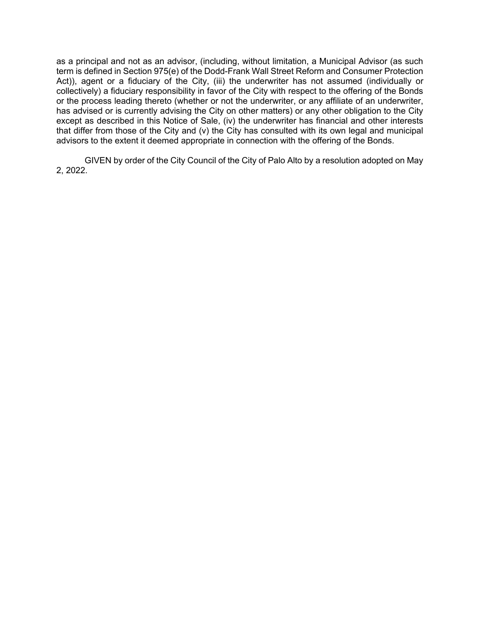as a principal and not as an advisor, (including, without limitation, a Municipal Advisor (as such term is defined in Section 975(e) of the Dodd-Frank Wall Street Reform and Consumer Protection Act)), agent or a fiduciary of the City, (iii) the underwriter has not assumed (individually or collectively) a fiduciary responsibility in favor of the City with respect to the offering of the Bonds or the process leading thereto (whether or not the underwriter, or any affiliate of an underwriter, has advised or is currently advising the City on other matters) or any other obligation to the City except as described in this Notice of Sale, (iv) the underwriter has financial and other interests that differ from those of the City and (v) the City has consulted with its own legal and municipal advisors to the extent it deemed appropriate in connection with the offering of the Bonds.

GIVEN by order of the City Council of the City of Palo Alto by a resolution adopted on May 2, 2022.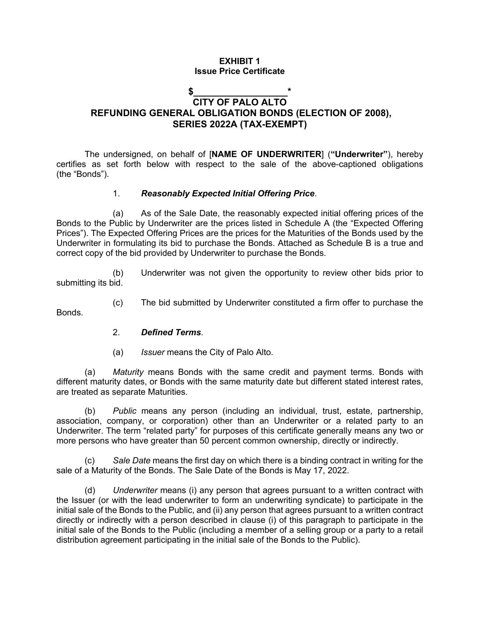#### **EXHIBIT 1 Issue Price Certificate**

## **\$\_\_\_\_\_\_\_\_\_\_\_\_\_\_\_\_\_\_\* CITY OF PALO ALTO REFUNDING GENERAL OBLIGATION BONDS (ELECTION OF 2008), SERIES 2022A (TAX-EXEMPT)**

The undersigned, on behalf of [**NAME OF UNDERWRITER**] (**"Underwriter"**), hereby certifies as set forth below with respect to the sale of the above-captioned obligations (the "Bonds").

#### 1. *Reasonably Expected Initial Offering Price*.

(a) As of the Sale Date, the reasonably expected initial offering prices of the Bonds to the Public by Underwriter are the prices listed in Schedule A (the "Expected Offering Prices"). The Expected Offering Prices are the prices for the Maturities of the Bonds used by the Underwriter in formulating its bid to purchase the Bonds. Attached as Schedule B is a true and correct copy of the bid provided by Underwriter to purchase the Bonds.

(b) Underwriter was not given the opportunity to review other bids prior to submitting its bid.

(c) The bid submitted by Underwriter constituted a firm offer to purchase the **Bonds** 

#### 2. *Defined Terms*.

(a) *Issuer* means the City of Palo Alto.

(a) *Maturity* means Bonds with the same credit and payment terms. Bonds with different maturity dates, or Bonds with the same maturity date but different stated interest rates, are treated as separate Maturities.

(b) *Public* means any person (including an individual, trust, estate, partnership, association, company, or corporation) other than an Underwriter or a related party to an Underwriter. The term "related party" for purposes of this certificate generally means any two or more persons who have greater than 50 percent common ownership, directly or indirectly.

Sale Date means the first day on which there is a binding contract in writing for the sale of a Maturity of the Bonds. The Sale Date of the Bonds is May 17, 2022.

(d) *Underwriter* means (i) any person that agrees pursuant to a written contract with the Issuer (or with the lead underwriter to form an underwriting syndicate) to participate in the initial sale of the Bonds to the Public, and (ii) any person that agrees pursuant to a written contract directly or indirectly with a person described in clause (i) of this paragraph to participate in the initial sale of the Bonds to the Public (including a member of a selling group or a party to a retail distribution agreement participating in the initial sale of the Bonds to the Public).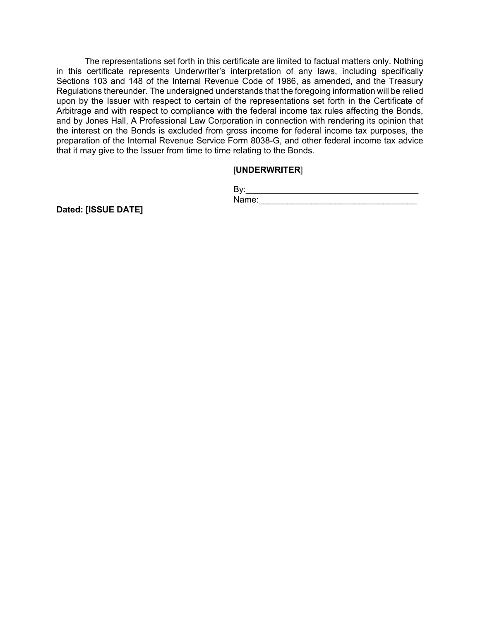The representations set forth in this certificate are limited to factual matters only. Nothing in this certificate represents Underwriter's interpretation of any laws, including specifically Sections 103 and 148 of the Internal Revenue Code of 1986, as amended, and the Treasury Regulations thereunder. The undersigned understands that the foregoing information will be relied upon by the Issuer with respect to certain of the representations set forth in the Certificate of Arbitrage and with respect to compliance with the federal income tax rules affecting the Bonds, and by Jones Hall, A Professional Law Corporation in connection with rendering its opinion that the interest on the Bonds is excluded from gross income for federal income tax purposes, the preparation of the Internal Revenue Service Form 8038-G, and other federal income tax advice that it may give to the Issuer from time to time relating to the Bonds.

### [**UNDERWRITER**]

| lame:<br>. . |  |  |
|--------------|--|--|

**Dated: [ISSUE DATE]**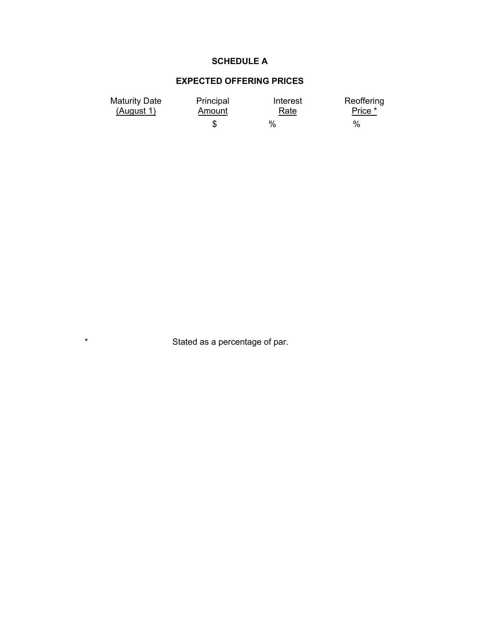## **SCHEDULE A**

# **EXPECTED OFFERING PRICES**

| <b>Maturity Date</b><br>(August 1) | Principal<br>Amount | Interest<br>Rate | Reoffering<br>Price * |
|------------------------------------|---------------------|------------------|-----------------------|
|                                    |                     | $\%$             | $\%$                  |

\* Stated as a percentage of par.